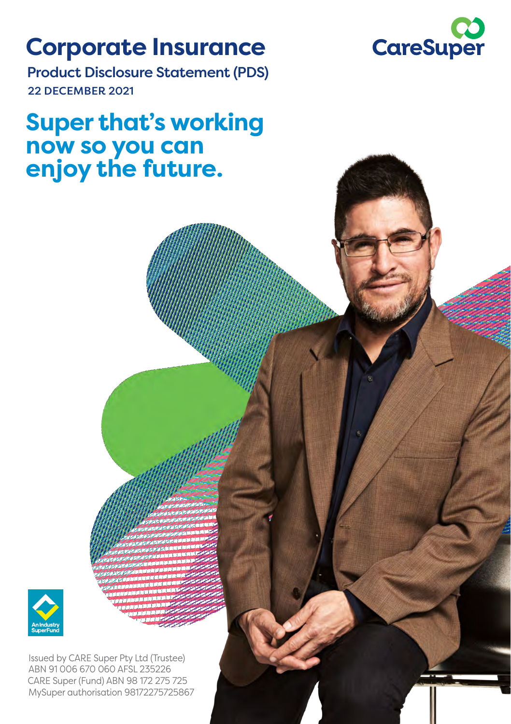### **Corporate Insurance**



Product Disclosure Statement (PDS) 22 DECEMBER 2021

### **Super that's working now so you can enjoy the future.**



Issued by CARE Super Pty Ltd (Trustee) ABN 91 006 670 060 AFSL 235226 CARE Super (Fund) ABN 98 172 275 725 MySuper authorisation 98172275725867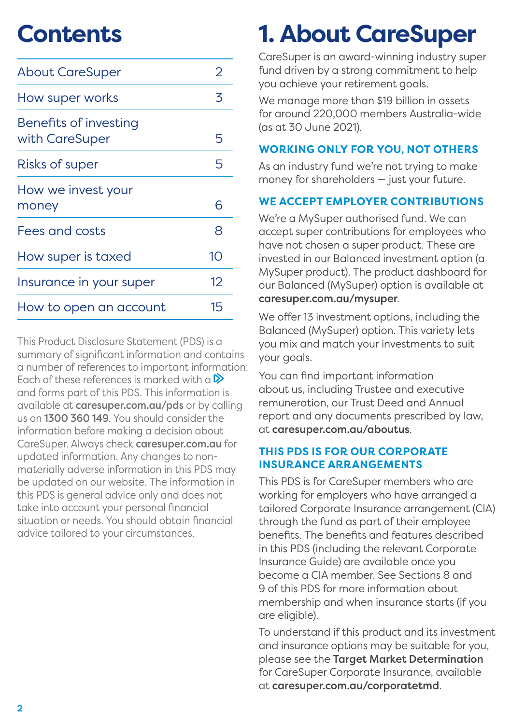### **Contents**

| <b>About CareSuper</b>                  | 2  |
|-----------------------------------------|----|
| How super works                         | 3  |
| Benefits of investing<br>with CareSuper | 5  |
| <b>Risks of super</b>                   | 5  |
| How we invest your<br>money             | 6  |
| Fees and costs                          | 8  |
| How super is taxed                      | 10 |
| Insurance in your super                 | 12 |
| How to open an account                  | 15 |

This Product Disclosure Statement (PDS) is a summary of significant information and contains a number of references to important information. Each of these references is marked with a  $\triangleright$ and forms part of this PDS. This information is available at [caresuper.com.au/pds](http://caresuper.com.au/pds) or by calling us on 1300 360 149. You should consider the information before making a decision about CareSuper. Always check [caresuper.com.au](http://www.caresuper.com.au) for updated information. Any changes to nonmaterially adverse information in this PDS may be updated on our website. The information in this PDS is general advice only and does not take into account your personal financial situation or needs. You should obtain financial advice tailored to your circumstances.

# **1. About CareSuper**

CareSuper is an award-winning industry super fund driven by a strong commitment to help you achieve your retirement goals.

We manage more than \$19 billion in assets for around 220,000 members Australia-wide (as at 30 June 2021).

#### **WORKING ONLY FOR YOU, NOT OTHERS**

As an industry fund we're not trying to make money for shareholders — just your future.

#### **WE ACCEPT EMPLOYER CONTRIBUTIONS**

We're a MySuper authorised fund. We can accept super contributions for employees who have not chosen a super product. These are invested in our Balanced investment option (a MySuper product). The product dashboard for our Balanced (MySuper) option is available at [caresuper.com.au/mysuper](http://www.caresuper.com.au/mysuper).

We offer 13 investment options, including the Balanced (MySuper) option. This variety lets you mix and match your investments to suit your goals.

You can find important information about us, including Trustee and executive remuneration, our Trust Deed and Annual report and any documents prescribed by law, at [caresuper.com.au/aboutus](http://www.caresuper.com.au/aboutus).

#### **THIS PDS IS FOR OUR CORPORATE INSURANCE ARRANGEMENTS**

This PDS is for CareSuper members who are working for employers who have arranged a tailored Corporate Insurance arrangement (CIA) through the fund as part of their employee benefits. The benefits and features described in this PDS (including the relevant Corporate Insurance Guide) are available once you become a CIA member. See Sections 8 and 9 of this PDS for more information about membership and when insurance starts (if you are eligible).

To understand if this product and its investment and insurance options may be suitable for you, please see the Target Market Determination for CareSuper Corporate Insurance, available at [caresuper.com.au/corporatetmd](http://www.caresuper.com.au/corporatetmd).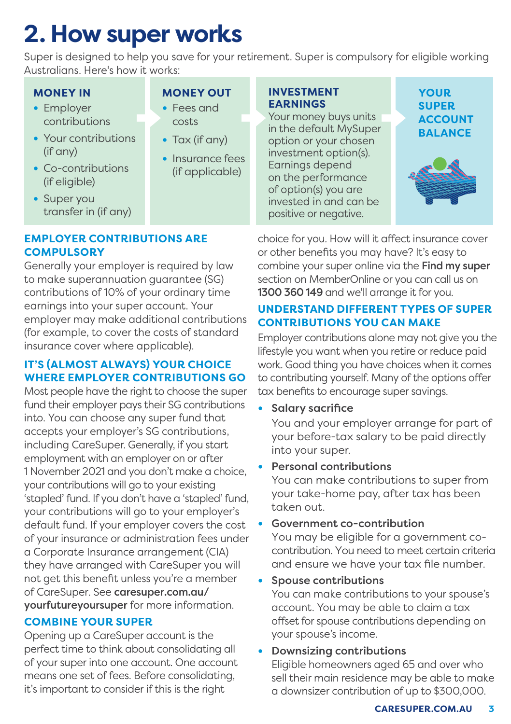# **2. How super works**

Super is designed to help you save for your retirement. Super is compulsory for eligible working Australians. Here's how it works:

#### **MONEY IN**

- **•** Employer contributions
- **•** Your contributions (if any)
- **•** Co-contributions (if eligible)
- **MONEY OUT**
- **•** Fees and costs
- **•** Tax (if any)
- **•** Insurance fees (if applicable)

#### **INVESTMENT EARNINGS**

Your money buys units in the default MySuper option or your chosen investment option(s). Earnings depend on the performance of option(s) you are invested in and can be positive or negative.

**YOUR SUPER ACCOUNT BALANCE**



**•** Super you transfer in (if any)

#### **EMPLOYER CONTRIBUTIONS ARE COMPULSORY**

Generally your employer is required by law to make superannuation guarantee (SG) contributions of 10% of your ordinary time earnings into your super account. Your employer may make additional contributions (for example, to cover the costs of standard insurance cover where applicable).

#### **IT'S (ALMOST ALWAYS) YOUR CHOICE WHERE EMPLOYER CONTRIBUTIONS GO**

Most people have the right to choose the super fund their employer pays their SG contributions into. You can choose any super fund that accepts your employer's SG contributions, including CareSuper. Generally, if you start employment with an employer on or after 1 November 2021 and you don't make a choice, your contributions will go to your existing 'stapled' fund. If you don't have a 'stapled' fund, your contributions will go to your employer's default fund. If your employer covers the cost of your insurance or administration fees under a Corporate Insurance arrangement (CIA) they have arranged with CareSuper you will not get this benefit unless you're a member of CareSuper. See [caresuper.com.au/](http://caresuper.com.au/yourfutureyoursuper) [yourfutureyoursuper](http://caresuper.com.au/yourfutureyoursuper) for more information.

#### **COMBINE YOUR SUPER**

Opening up a CareSuper account is the perfect time to think about consolidating all of your super into one account. One account means one set of fees. Before consolidating, it's important to consider if this is the right

choice for you. How will it affect insurance cover or other benefits you may have? It's easy to combine your super online via the Find my super section on MemberOnline or you can call us on 1300 360 149 and we'll arrange it for you.

#### **UNDERSTAND DIFFERENT TYPES OF SUPER CONTRIBUTIONS YOU CAN MAKE**

Employer contributions alone may not give you the lifestyle you want when you retire or reduce paid work. Good thing you have choices when it comes to contributing yourself. Many of the options offer tax benefits to encourage super savings.

**•** Salary sacrifice

You and your employer arrange for part of your before-tax salary to be paid directly into your super.

**•** Personal contributions

You can make contributions to super from your take-home pay, after tax has been taken out.

**•** Government co-contribution

You may be eligible for a government cocontribution. You need to meet certain criteria and ensure we have your tax file number.

**•** Spouse contributions

You can make contributions to your spouse's account. You may be able to claim a tax offset for spouse contributions depending on your spouse's income.

#### **•** Downsizing contributions

Eligible homeowners aged 65 and over who sell their main residence may be able to make a downsizer contribution of up to \$300,000.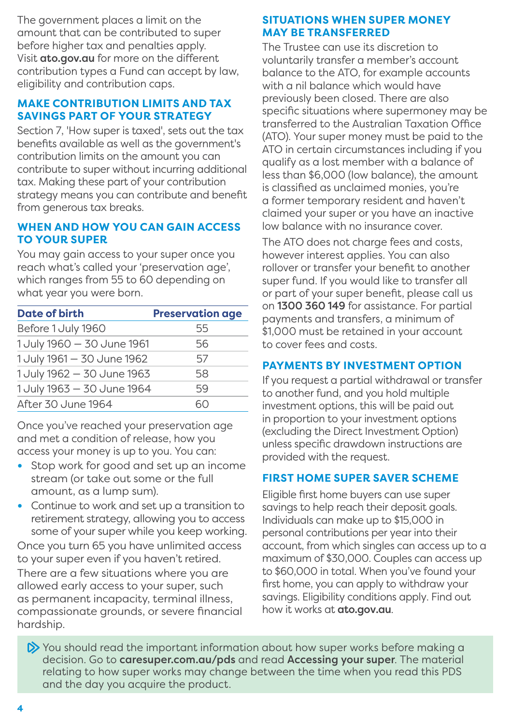The government places a limit on the amount that can be contributed to super before higher tax and penalties apply. Visit [ato.gov.au](http://www.ato.gov.au) for more on the different contribution types a Fund can accept by law, eligibility and contribution caps.

#### **MAKE CONTRIBUTION LIMITS AND TAX SAVINGS PART OF YOUR STRATEGY**

Section 7, 'How super is taxed', sets out the tax benefits available as well as the government's contribution limits on the amount you can contribute to super without incurring additional tax. Making these part of your contribution strategy means you can contribute and benefit from generous tax breaks.

#### **WHEN AND HOW YOU CAN GAIN ACCESS TO YOUR SUPER**

You may gain access to your super once you reach what's called your 'preservation age', which ranges from 55 to 60 depending on what year you were born.

| Date of birth              | <b>Preservation age</b> |
|----------------------------|-------------------------|
| Before 1 July 1960         | 55                      |
| 1 July 1960 - 30 June 1961 | 56                      |
| 1 July 1961 - 30 June 1962 | 57                      |
| 1 July 1962 - 30 June 1963 | 58                      |
| 1 July 1963 - 30 June 1964 | 59                      |
| After 30 June 1964         |                         |

Once you've reached your preservation age and met a condition of release, how you access your money is up to you. You can:

- **•** Stop work for good and set up an income stream (or take out some or the full amount, as a lump sum).
- **•** Continue to work and set up a transition to retirement strategy, allowing you to access some of your super while you keep working.

Once you turn 65 you have unlimited access to your super even if you haven't retired. There are a few situations where you are allowed early access to your super, such as permanent incapacity, terminal illness, compassionate grounds, or severe financial hardship.

#### **SITUATIONS WHEN SUPER MONEY MAY BE TRANSFERRED**

The Trustee can use its discretion to voluntarily transfer a member's account balance to the ATO, for example accounts with a nil balance which would have previously been closed. There are also specific situations where supermoney may be transferred to the Australian Taxation Office (ATO). Your super money must be paid to the ATO in certain circumstances including if you qualify as a lost member with a balance of less than \$6,000 (low balance), the amount is classified as unclaimed monies, you're a former temporary resident and haven't claimed your super or you have an inactive low balance with no insurance cover.

The ATO does not charge fees and costs, however interest applies. You can also rollover or transfer your benefit to another super fund. If you would like to transfer all or part of your super benefit, please call us on 1300 360 149 for assistance. For partial payments and transfers, a minimum of \$1,000 must be retained in your account to cover fees and costs.

#### **PAYMENTS BY INVESTMENT OPTION**

If you request a partial withdrawal or transfer to another fund, and you hold multiple investment options, this will be paid out in proportion to your investment options (excluding the Direct Investment Option) unless specific drawdown instructions are provided with the request.

#### **FIRST HOME SUPER SAVER SCHEME**

Eligible first home buyers can use super savings to help reach their deposit goals. Individuals can make up to \$15,000 in personal contributions per year into their account, from which singles can access up to a maximum of \$30,000. Couples can access up to \$60,000 in total. When you've found your first home, you can apply to withdraw your savings. Eligibility conditions apply. Find out how it works at [ato.gov.au](http://www.ato.gov.au).

 $\triangleright$  You should read the important information about how super works before making a decision. Go to [caresuper.com.au/pds](http://www.caresuper.com.au/pds) and read Accessing your super. The material relating to how super works may change between the time when you read this PDS and the day you acquire the product.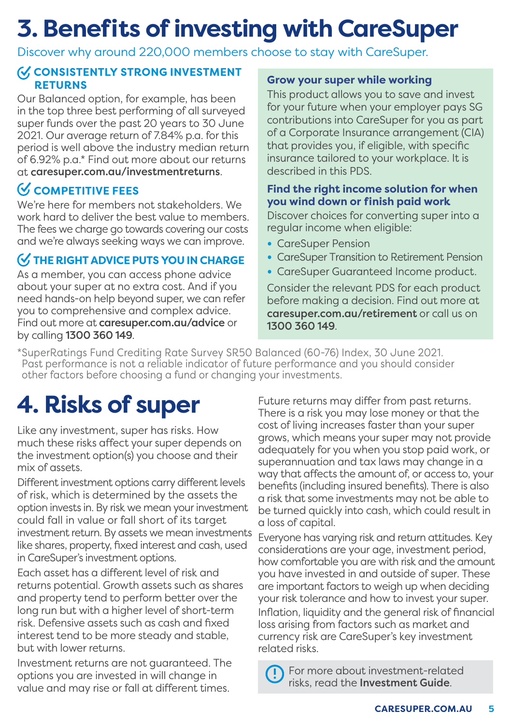### **3. Benefits of investing with CareSuper**

Discover why around 220,000 members choose to stay with CareSuper.

#### **CONSISTENTLY STRONG INVESTMENT RETURNS**

Our Balanced option, for example, has been in the top three best performing of all surveyed super funds over the past 20 years to 30 June 2021. Our average return of 7.84% p.a. for this period is well above the industry median return of 6.92% p.a.\* Find out more about our returns at [caresuper.com.au/investmentreturns](http://www.caresuper.com.au/investmentreturns).

### **COMPETITIVE FEES**

We're here for members not stakeholders. We work hard to deliver the best value to members. The fees we charge go towards covering our costs and we're always seeking ways we can improve.

### **THE RIGHT ADVICE PUTS YOU IN CHARGE**

As a member, you can access phone advice about your super at no extra cost. And if you need hands-on help beyond super, we can refer you to comprehensive and complex advice. Find out more at [caresuper.com.au/advice](http://www.caresuper.com.au/advice) or by calling 1300 360 149.

#### **Grow your super while working**

This product allows you to save and invest for your future when your employer pays SG contributions into CareSuper for you as part of a Corporate Insurance arrangement (CIA) that provides you, if eligible, with specific insurance tailored to your workplace. It is described in this PDS.

#### **Find the right income solution for when you wind down or finish paid work**

Discover choices for converting super into a regular income when eligible:

- **•** CareSuper Pension
- **•** CareSuper Transition to Retirement Pension
- **•** CareSuper Guaranteed Income product.

Consider the relevant PDS for each product before making a decision. Find out more at [caresuper.com.au/retirement](http://www.caresuper.com.au/retirement) or call us on 1300 360 149.

\*SuperRatings Fund Crediting Rate Survey SR50 Balanced (60-76) Index, 30 June 2021. Past performance is not a reliable indicator of future performance and you should consider other factors before choosing a fund or changing your investments.

Like any investment, super has risks. How much these risks affect your super depends on the investment option(s) you choose and their mix of assets.

Different investment options carry different levels of risk, which is determined by the assets the option invests in. By risk we mean your investment could fall in value or fall short of its target investment return. By assets we mean investments like shares, property, fixed interest and cash, used in CareSuper's investment options.

Each asset has a different level of risk and returns potential. Growth assets such as shares and property tend to perform better over the long run but with a higher level of short-term risk. Defensive assets such as cash and fixed interest tend to be more steady and stable, but with lower returns.

Investment returns are not guaranteed. The options you are invested in will change in value and may rise or fall at different times.

**4. Risks of super** Future returns may differ from past returns. There is a risk you may lose money or that the cost of living increases faster than your super grows, which means your super may not provide adequately for you when you stop paid work, or superannuation and tax laws may change in a way that affects the amount of, or access to, your benefits (including insured benefits). There is also a risk that some investments may not be able to be turned quickly into cash, which could result in a loss of capital.

> Everyone has varying risk and return attitudes. Key considerations are your age, investment period, how comfortable you are with risk and the amount you have invested in and outside of super. These are important factors to weigh up when deciding your risk tolerance and how to invest your super. Inflation, liquidity and the general risk of financial loss arising from factors such as market and currency risk are CareSuper's key investment related risks.

 For more about investment-related risks, read the Investment Guide.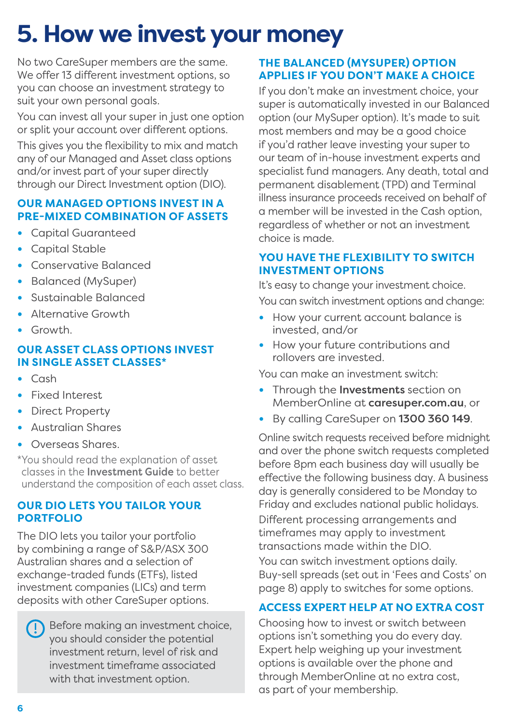### **5. How we invest your money**

No two CareSuper members are the same. We offer 13 different investment options, so you can choose an investment strategy to suit your own personal goals.

You can invest all your super in just one option or split your account over different options.

This gives you the flexibility to mix and match any of our Managed and Asset class options and/or invest part of your super directly through our Direct Investment option (DIO).

#### **OUR MANAGED OPTIONS INVEST IN A PRE-MIXED COMBINATION OF ASSETS**

- **•** Capital Guaranteed
- **•** Capital Stable
- **•** Conservative Balanced
- **•** Balanced (MySuper)
- **•** Sustainable Balanced
- **•** Alternative Growth
- **•** Growth.

#### **OUR ASSET CLASS OPTIONS INVEST IN SINGLE ASSET CLASSES\***

- **•** Cash
- **•** Fixed Interest
- **•** Direct Property
- **•** Australian Shares
- **•** Overseas Shares.
- \*You should read the explanation of asset classes in the Investment Guide to better understand the composition of each asset class.

#### **OUR DIO LETS YOU TAILOR YOUR PORTFOLIO**

The DIO lets you tailor your portfolio by combining a range of S&P/ASX 300 Australian shares and a selection of exchange-traded funds (ETFs), listed investment companies (LICs) and term deposits with other CareSuper options.

Before making an investment choice, you should consider the potential investment return, level of risk and investment timeframe associated with that investment option.

#### **THE BALANCED (MYSUPER) OPTION APPLIES IF YOU DON'T MAKE A CHOICE**

If you don't make an investment choice, your super is automatically invested in our Balanced option (our MySuper option). It's made to suit most members and may be a good choice if you'd rather leave investing your super to our team of in-house investment experts and specialist fund managers. Any death, total and permanent disablement (TPD) and Terminal illness insurance proceeds received on behalf of a member will be invested in the Cash option, regardless of whether or not an investment choice is made.

#### **YOU HAVE THE FLEXIBILITY TO SWITCH INVESTMENT OPTIONS**

It's easy to change your investment choice.

You can switch investment options and change:

- **•** How your current account balance is invested, and/or
- **•** How your future contributions and rollovers are invested.

You can make an investment switch:

- **•** Through the Investments section on MemberOnline at [caresuper.com.au](http://www.caresuper.com.au), or
- **•** By calling CareSuper on 1300 360 149.

Online switch requests received before midnight and over the phone switch requests completed before 8pm each business day will usually be effective the following business day. A business day is generally considered to be Monday to Friday and excludes national public holidays.

Different processing arrangements and timeframes may apply to investment transactions made within the DIO.

You can switch investment options daily. Buy-sell spreads (set out in 'Fees and Costs' on page 8) apply to switches for some options.

#### **ACCESS EXPERT HELP AT NO EXTRA COST**

Choosing how to invest or switch between options isn't something you do every day. Expert help weighing up your investment options is available over the phone and through MemberOnline at no extra cost, as part of your membership.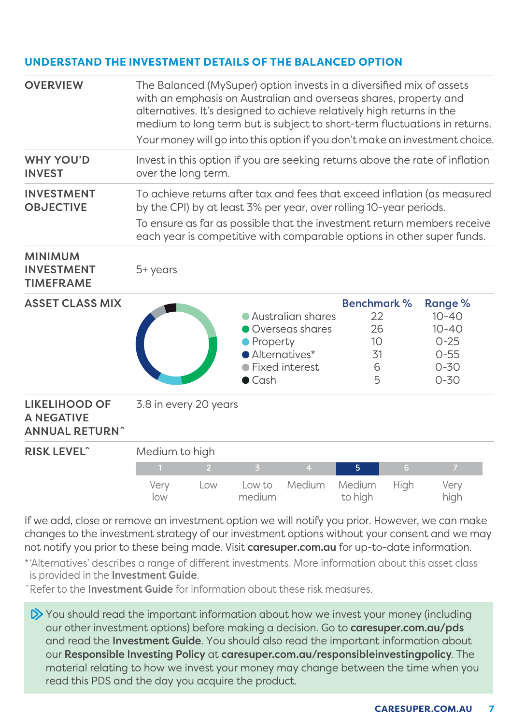#### **UNDERSTAND THE INVESTMENT DETAILS OF THE BALANCED OPTION**

| <b>OVERVIEW</b>                                                    | The Balanced (MySuper) option invests in a diversified mix of assets<br>with an emphasis on Australian and overseas shares, property and<br>alternatives. It's designed to achieve relatively high returns in the<br>medium to long term but is subject to short-term fluctuations in returns.<br>Your money will go into this option if you don't make an investment choice. |                |                                               |                                                          |                                                      |      |                                                                                   |
|--------------------------------------------------------------------|-------------------------------------------------------------------------------------------------------------------------------------------------------------------------------------------------------------------------------------------------------------------------------------------------------------------------------------------------------------------------------|----------------|-----------------------------------------------|----------------------------------------------------------|------------------------------------------------------|------|-----------------------------------------------------------------------------------|
| <b>WHY YOU'D</b><br><b>INVEST</b>                                  | Invest in this option if you are seeking returns above the rate of inflation<br>over the long term.                                                                                                                                                                                                                                                                           |                |                                               |                                                          |                                                      |      |                                                                                   |
| <b>INVESTMENT</b><br><b>OBJECTIVE</b>                              | To achieve returns after tax and fees that exceed inflation (as measured<br>by the CPI) by at least 3% per year, over rolling 10-year periods.<br>To ensure as far as possible that the investment return members receive<br>each year is competitive with comparable options in other super funds.                                                                           |                |                                               |                                                          |                                                      |      |                                                                                   |
| <b>MINIMUM</b><br><b>INVESTMENT</b><br><b>TIMEFRAME</b>            | 5+ years                                                                                                                                                                                                                                                                                                                                                                      |                |                                               |                                                          |                                                      |      |                                                                                   |
| <b>ASSET CLASS MIX</b>                                             |                                                                                                                                                                                                                                                                                                                                                                               |                | Property<br>• Alternatives*<br>$\bullet$ Cash | Australian shares<br>Overseas shares<br>● Fixed interest | <b>Benchmark %</b><br>22<br>26<br>10<br>31<br>6<br>5 |      | Range %<br>$10 - 40$<br>$10 - 40$<br>$0 - 25$<br>$0 - 55$<br>$0 - 30$<br>$0 - 30$ |
| <b>LIKELIHOOD OF</b><br><b>A NEGATIVE</b><br><b>ANNUAL RETURN^</b> | 3.8 in every 20 years                                                                                                                                                                                                                                                                                                                                                         |                |                                               |                                                          |                                                      |      |                                                                                   |
| <b>RISK LEVEL^</b>                                                 | Medium to high                                                                                                                                                                                                                                                                                                                                                                |                |                                               |                                                          |                                                      |      |                                                                                   |
|                                                                    |                                                                                                                                                                                                                                                                                                                                                                               | $\overline{2}$ | $\overline{3}$                                | $\overline{4}$                                           | 5                                                    | 6    | $\overline{7}$                                                                    |
|                                                                    | Very<br>low                                                                                                                                                                                                                                                                                                                                                                   | Low            | Low to<br>medium                              | Medium                                                   | Medium<br>to high                                    | High | Very<br>high                                                                      |

If we add, close or remove an investment option we will notify you prior. However, we can make changes to the investment strategy of our investment options without your consent and we may not notify you prior to these being made. Visit [caresuper.com.au](http://www.caresuper.com.au) for up-to-date information.

\*'Alternatives' describes a range of different investments. More information about this asset class is provided in the Investment Guide.

ˆRefer to the Investment Guide for information about these risk measures.

 $\gg$  You should read the important information about how we invest your money (including our other investment options) before making a decision. Go to [caresuper.com.au/pds](http://www.caresuper.com.au/pds) and read the Investment Guide. You should also read the important information about our Responsible Investing Policy at [caresuper.com.au/responsibleinvestingpolicy](http://www.caresuper.com.au/responsibleinvestingpolicy). The material relating to how we invest your money may change between the time when you read this PDS and the day you acquire the product.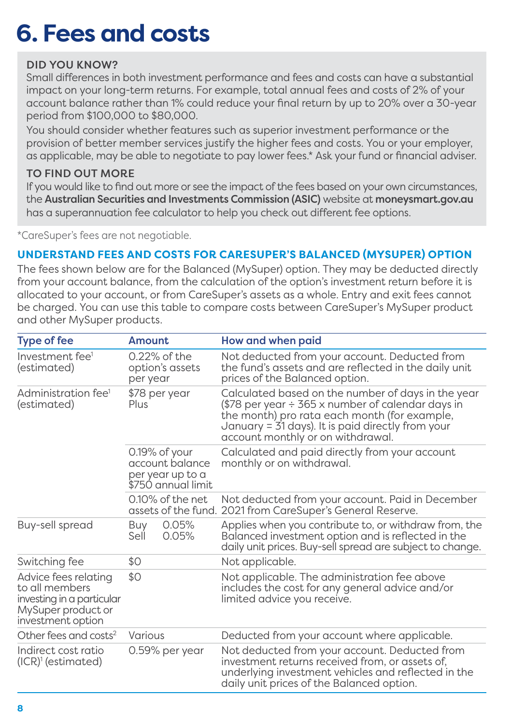### **6. Fees and costs**

#### DID YOU KNOW?

Small differences in both investment performance and fees and costs can have a substantial impact on your long-term returns. For example, total annual fees and costs of 2% of your account balance rather than 1% could reduce your final return by up to 20% over a 30-year period from \$100,000 to \$80,000.

You should consider whether features such as superior investment performance or the provision of better member services justify the higher fees and costs. You or your employer, as applicable, may be able to negotiate to pay lower fees.\* Ask your fund or financial adviser.

#### TO FIND OUT MORE

If you would like to find out more or see the impact of the fees based on your own circumstances, the Australian Securities and Investments Commission (ASIC) website at [moneysmart.gov.au](http://www.moneysmart.gov.au) has a superannuation fee calculator to help you check out different fee options.

\*CareSuper's fees are not negotiable.

#### **UNDERSTAND FEES AND COSTS FOR CARESUPER'S BALANCED (MYSUPER) OPTION**

The fees shown below are for the Balanced (MySuper) option. They may be deducted directly from your account balance, from the calculation of the option's investment return before it is allocated to your account, or from CareSuper's assets as a whole. Entry and exit fees cannot be charged. You can use this table to compare costs between CareSuper's MySuper product and other MySuper products.

| <b>Type of fee</b>                                                                                             | Amount                                                                     |                | How and when paid                                                                                                                                                                                                                                      |  |
|----------------------------------------------------------------------------------------------------------------|----------------------------------------------------------------------------|----------------|--------------------------------------------------------------------------------------------------------------------------------------------------------------------------------------------------------------------------------------------------------|--|
| Investment fee <sup>1</sup><br>(estimated)                                                                     | 0.22% of the<br>option's assets<br>per year                                |                | Not deducted from your account. Deducted from<br>the fund's assets and are reflected in the daily unit<br>prices of the Balanced option.                                                                                                               |  |
| Administration fee <sup>1</sup><br>(estimated)                                                                 | \$78 per year<br>Plus                                                      |                | Calculated based on the number of days in the year<br>(\$78 per year $\div$ 365 x number of calendar days in<br>the month) pro rata each month (for example,<br>January = 31 days). It is paid directly from your<br>account monthly or on withdrawal. |  |
|                                                                                                                | 0.19% of your<br>account balance<br>per year up to a<br>\$750 annual limit |                | Calculated and paid directly from your account<br>monthly or on withdrawal.                                                                                                                                                                            |  |
|                                                                                                                | $0.10\%$ of the net.<br>assets of the fund.                                |                | Not deducted from your account. Paid in December<br>2021 from CareSuper's General Reserve.                                                                                                                                                             |  |
| Buy-sell spread                                                                                                | Buy<br>Sell                                                                | 0.05%<br>0.05% | Applies when you contribute to, or withdraw from, the<br>Balanced investment option and is reflected in the<br>daily unit prices. Buy-sell spread are subject to change.                                                                               |  |
| Switching fee                                                                                                  | \$0                                                                        |                | Not applicable.                                                                                                                                                                                                                                        |  |
| Advice fees relating<br>to all members<br>investing in a particular<br>MySuper product or<br>investment option | \$0                                                                        |                | Not applicable. The administration fee above<br>includes the cost for any general advice and/or<br>limited advice you receive.                                                                                                                         |  |
| Other fees and costs <sup>2</sup>                                                                              | Various                                                                    |                | Deducted from your account where applicable.                                                                                                                                                                                                           |  |
| Indirect cost ratio<br>0.59% per year<br>$(ICR)1$ (estimated)                                                  |                                                                            |                | Not deducted from your account. Deducted from<br>investment returns received from, or assets of,<br>underlying investment vehicles and reflected in the<br>daily unit prices of the Balanced option.                                                   |  |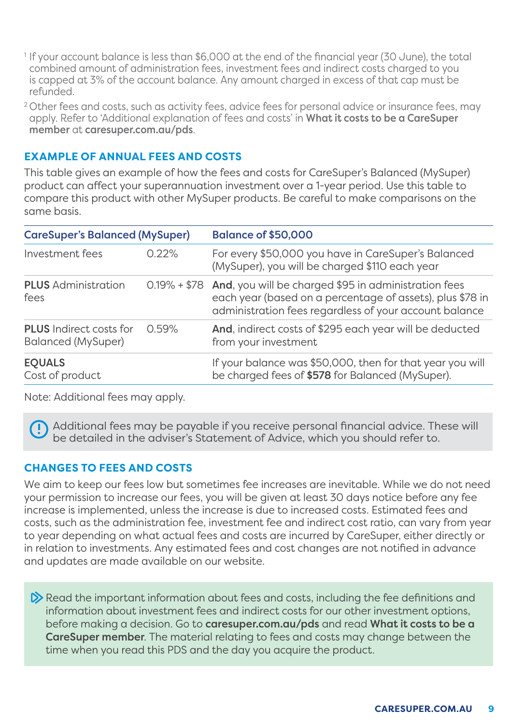- 1 If your account balance is less than \$6,000 at the end of the financial year (30 June), the total combined amount of administration fees, investment fees and indirect costs charged to you is capped at 3% of the account balance. Any amount charged in excess of that cap must be refunded.
- <sup>2</sup> Other fees and costs, such as activity fees, advice fees for personal advice or insurance fees, may apply. Refer to 'Additional explanation of fees and costs' in What it costs to be a CareSuper member at [caresuper.com.au/pds](http://www.caresuper.com.au/pds).

#### **EXAMPLE OF ANNUAL FEES AND COSTS**

This table gives an example of how the fees and costs for CareSuper's Balanced (MySuper) product can affect your superannuation investment over a 1-year period. Use this table to compare this product with other MySuper products. Be careful to make comparisons on the same basis.

| <b>CareSuper's Balanced (MySuper)</b>                |       | <b>Balance of \$50,000</b>                                                                                                                                                               |  |  |
|------------------------------------------------------|-------|------------------------------------------------------------------------------------------------------------------------------------------------------------------------------------------|--|--|
| Investment fees                                      | 0.22% | For every \$50,000 you have in CareSuper's Balanced<br>(MySuper), you will be charged \$110 each year                                                                                    |  |  |
| <b>PLUS</b> Administration<br>fees                   |       | 0.19% + \$78 And, you will be charged \$95 in administration fees<br>each year (based on a percentage of assets), plus \$78 in<br>administration fees regardless of your account balance |  |  |
| <b>PLUS</b> Indirect costs for<br>Balanced (MySuper) | 0.59% | And, indirect costs of \$295 each year will be deducted<br>from your investment                                                                                                          |  |  |
| <b>EQUALS</b><br>Cost of product                     |       | If your balance was \$50,000, then for that year you will<br>be charged fees of \$578 for Balanced (MySuper).                                                                            |  |  |

Note: Additional fees may apply.

 Additional fees may be payable if you receive personal financial advice. These will be detailed in the adviser's Statement of Advice, which you should refer to.

#### **CHANGES TO FEES AND COSTS**

We aim to keep our fees low but sometimes fee increases are inevitable. While we do not need your permission to increase our fees, you will be given at least 30 days notice before any fee increase is implemented, unless the increase is due to increased costs. Estimated fees and costs, such as the administration fee, investment fee and indirect cost ratio, can vary from year to year depending on what actual fees and costs are incurred by CareSuper, either directly or in relation to investments. Any estimated fees and cost changes are not notified in advance and updates are made available on our website.

 $\triangleright$  Read the important information about fees and costs, including the fee definitions and information about investment fees and indirect costs for our other investment options, before making a decision. Go to **[caresuper.com.au/pds](http://www.caresuper.com.au/pds)** and read What it costs to be a CareSuper member. The material relating to fees and costs may change between the time when you read this PDS and the day you acquire the product.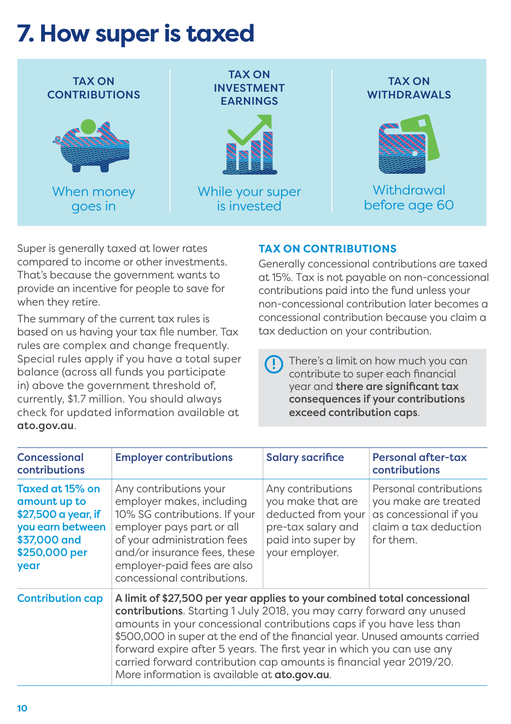### **7. How super is taxed**



Super is generally taxed at lower rates compared to income or other investments. That's because the government wants to provide an incentive for people to save for when they retire.

The summary of the current tax rules is based on us having your tax file number. Tax rules are complex and change frequently. Special rules apply if you have a total super balance (across all funds you participate in) above the government threshold of, currently, \$1.7 million. You should always check for updated information available at [ato.gov.au](http://www.ato.gov.au).

#### **TAX ON CONTRIBUTIONS**

Generally concessional contributions are taxed at 15%. Tax is not payable on non-concessional contributions paid into the fund unless your non-concessional contribution later becomes a concessional contribution because you claim a tax deduction on your contribution.

 There's a limit on how much you can contribute to super each financial year and there are significant tax consequences if your contributions exceed contribution caps.

| Concessional<br>contributions                                                                                       | <b>Employer contributions</b>                                                                                                                                                                                                                                                                                                                                                                                                                                                                                     | <b>Salary sacrifice</b>                                                                                                    | <b>Personal after-tax</b><br>contributions                                                                     |
|---------------------------------------------------------------------------------------------------------------------|-------------------------------------------------------------------------------------------------------------------------------------------------------------------------------------------------------------------------------------------------------------------------------------------------------------------------------------------------------------------------------------------------------------------------------------------------------------------------------------------------------------------|----------------------------------------------------------------------------------------------------------------------------|----------------------------------------------------------------------------------------------------------------|
| Taxed at 15% on<br>amount up to<br>\$27,500 a year, if<br>you earn between<br>\$37,000 and<br>\$250,000 per<br>year | Any contributions your<br>employer makes, including<br>10% SG contributions. If your<br>employer pays part or all<br>of your administration fees<br>and/or insurance fees, these<br>employer-paid fees are also<br>concessional contributions.                                                                                                                                                                                                                                                                    | Any contributions<br>you make that are<br>deducted from your<br>pre-tax salary and<br>paid into super by<br>your employer. | Personal contributions<br>you make are treated<br>as concessional if you<br>claim a tax deduction<br>for them. |
| <b>Contribution cap</b>                                                                                             | A limit of \$27,500 per year applies to your combined total concessional<br>contributions. Starting 1 July 2018, you may carry forward any unused<br>amounts in your concessional contributions caps if you have less than<br>\$500,000 in super at the end of the financial year. Unused amounts carried<br>forward expire after 5 years. The first year in which you can use any<br>carried forward contribution cap amounts is financial year 2019/20.<br>More information is available at <b>ato.gov.au</b> . |                                                                                                                            |                                                                                                                |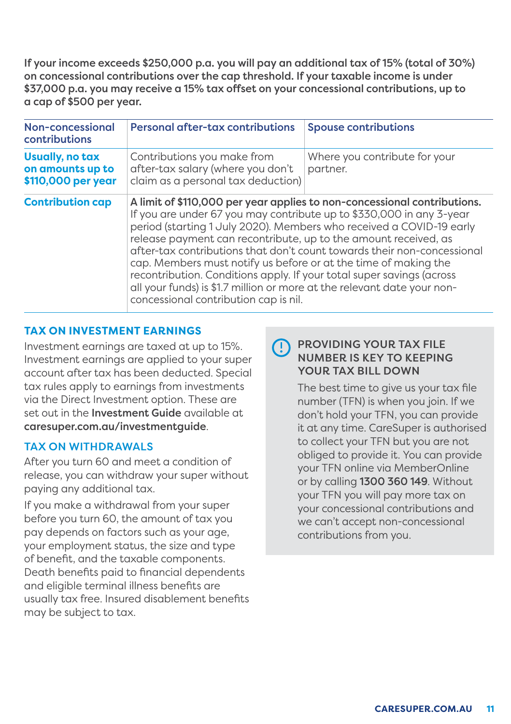If your income exceeds \$250,000 p.a. you will pay an additional tax of 15% (total of 30%) on concessional contributions over the cap threshold. If your taxable income is under \$37,000 p.a. you may receive a 15% tax offset on your concessional contributions, up to a cap of \$500 per year.

| Non-concessional<br>contributions                         | <b>Personal after-tax contributions</b>                                                                                                                                                                                                                                                                                                                                                                                                                                         | <b>Spouse contributions</b>                                                                                                                         |
|-----------------------------------------------------------|---------------------------------------------------------------------------------------------------------------------------------------------------------------------------------------------------------------------------------------------------------------------------------------------------------------------------------------------------------------------------------------------------------------------------------------------------------------------------------|-----------------------------------------------------------------------------------------------------------------------------------------------------|
| Usually, no tax<br>on amounts up to<br>\$110,000 per year | Contributions you make from<br>after-tax salary (where you don't<br>claim as a personal tax deduction)                                                                                                                                                                                                                                                                                                                                                                          | Where you contribute for your<br>partner.                                                                                                           |
| <b>Contribution cap</b>                                   | If you are under 67 you may contribute up to \$330,000 in any 3-year<br>period (starting 1 July 2020). Members who received a COVID-19 early<br>release payment can recontribute, up to the amount received, as<br>cap. Members must notify us before or at the time of making the<br>recontribution. Conditions apply. If your total super savings (across<br>all your funds) is \$1.7 million or more at the relevant date your non-<br>concessional contribution cap is nil. | A limit of \$110,000 per year applies to non-concessional contributions.<br>after-tax contributions that don't count towards their non-concessional |

#### **TAX ON INVESTMENT EARNINGS**

Investment earnings are taxed at up to 15%. Investment earnings are applied to your super account after tax has been deducted. Special tax rules apply to earnings from investments via the Direct Investment option. These are set out in the **Investment Guide** available at [caresuper.com.au/investmentguide](http://www.caresuper.com.au/investmentguide).

#### TAX ON WITHDRAWALS

After you turn 60 and meet a condition of release, you can withdraw your super without paying any additional tax.

If you make a withdrawal from your super before you turn 60, the amount of tax you pay depends on factors such as your age, your employment status, the size and type of benefit, and the taxable components. Death benefits paid to financial dependents and eligible terminal illness benefits are usually tax free. Insured disablement benefits may be subject to tax.

### PROVIDING YOUR TAX FILE NUMBER IS KEY TO KEEPING YOUR TAX BILL DOWN

The best time to give us your tax file number (TFN) is when you join. If we don't hold your TFN, you can provide it at any time. CareSuper is authorised to collect your TFN but you are not obliged to provide it. You can provide your TFN online via MemberOnline or by calling 1300 360 149. Without your TFN you will pay more tax on your concessional contributions and we can't accept non-concessional contributions from you.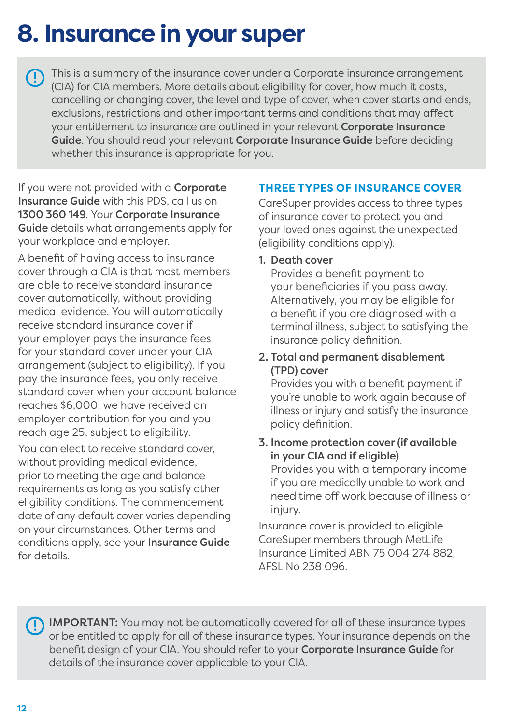# **8. Insurance in your super**

This is a summary of the insurance cover under a Corporate insurance arrangement (CIA) for CIA members. More details about eligibility for cover, how much it costs, cancelling or changing cover, the level and type of cover, when cover starts and ends, exclusions, restrictions and other important terms and conditions that may affect your entitlement to insurance are outlined in your relevant Corporate Insurance Guide. You should read your relevant Corporate Insurance Guide before deciding whether this insurance is appropriate for you.

If you were not provided with a **Corporate** Insurance Guide with this PDS, call us on 1300 360 149. Your Corporate Insurance Guide details what arrangements apply for your workplace and employer.

A benefit of having access to insurance cover through a CIA is that most members are able to receive standard insurance cover automatically, without providing medical evidence. You will automatically receive standard insurance cover if your employer pays the insurance fees for your standard cover under your CIA arrangement (subject to eligibility). If you pay the insurance fees, you only receive standard cover when your account balance reaches \$6,000, we have received an employer contribution for you and you reach age 25, subject to eligibility.

You can elect to receive standard cover, without providing medical evidence, prior to meeting the age and balance requirements as long as you satisfy other eligibility conditions. The commencement date of any default cover varies depending on your circumstances. Other terms and conditions apply, see your Insurance Guide for details.

#### **THREE TYPES OF INSURANCE COVER**

CareSuper provides access to three types of insurance cover to protect you and your loved ones against the unexpected (eligibility conditions apply).

#### 1. Death cover

Provides a benefit payment to your beneficiaries if you pass away. Alternatively, you may be eligible for a benefit if you are diagnosed with a terminal illness, subject to satisfying the insurance policy definition.

#### 2. Total and permanent disablement (TPD) cover

Provides you with a benefit payment if you're unable to work again because of illness or injury and satisfy the insurance policy definition.

#### 3. Income protection cover (if available in your CIA and if eligible)

Provides you with a temporary income if you are medically unable to work and need time off work because of illness or injury.

Insurance cover is provided to eligible CareSuper members through MetLife Insurance Limited ABN 75 004 274 882, AFSL No 238 096.

 IMPORTANT: You may not be automatically covered for all of these insurance types or be entitled to apply for all of these insurance types. Your insurance depends on the benefit design of your CIA. You should refer to your **Corporate Insurance Guide** for details of the insurance cover applicable to your CIA.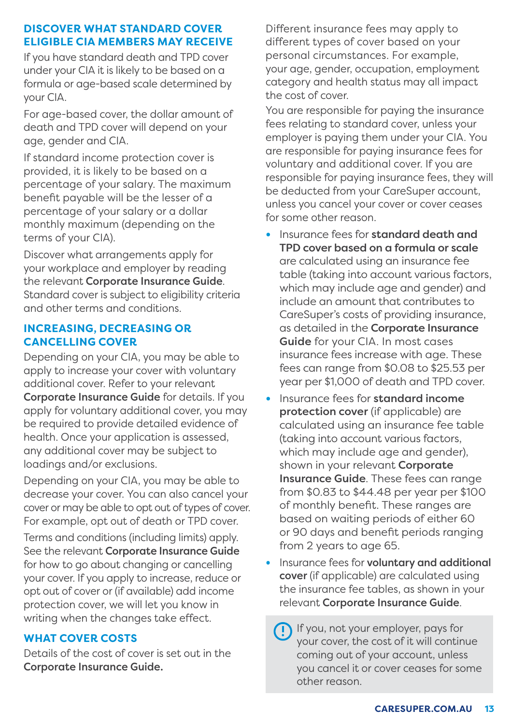#### **DISCOVER WHAT STANDARD COVER ELIGIBLE CIA MEMBERS MAY RECEIVE**

If you have standard death and TPD cover under your CIA it is likely to be based on a formula or age-based scale determined by your CIA.

For age-based cover, the dollar amount of death and TPD cover will depend on your age, gender and CIA.

If standard income protection cover is provided, it is likely to be based on a percentage of your salary. The maximum benefit payable will be the lesser of a percentage of your salary or a dollar monthly maximum (depending on the terms of your CIA).

Discover what arrangements apply for your workplace and employer by reading the relevant Corporate Insurance Guide. Standard cover is subject to eligibility criteria and other terms and conditions.

#### **INCREASING, DECREASING OR CANCELLING COVER**

Depending on your CIA, you may be able to apply to increase your cover with voluntary additional cover. Refer to your relevant Corporate Insurance Guide for details. If you apply for voluntary additional cover, you may be required to provide detailed evidence of health. Once your application is assessed, any additional cover may be subject to loadings and/or exclusions.

Depending on your CIA, you may be able to decrease your cover. You can also cancel your cover or may be able to opt out of types of cover. For example, opt out of death or TPD cover.

Terms and conditions (including limits) apply. See the relevant Corporate Insurance Guide for how to go about changing or cancelling your cover. If you apply to increase, reduce or opt out of cover or (if available) add income protection cover, we will let you know in writing when the changes take effect.

#### **WHAT COVER COSTS**

Details of the cost of cover is set out in the Corporate Insurance Guide.

Different insurance fees may apply to different types of cover based on your personal circumstances. For example, your age, gender, occupation, employment category and health status may all impact the cost of cover.

You are responsible for paying the insurance fees relating to standard cover, unless your employer is paying them under your CIA. You are responsible for paying insurance fees for voluntary and additional cover. If you are responsible for paying insurance fees, they will be deducted from your CareSuper account, unless you cancel your cover or cover ceases for some other reason.

- **•** Insurance fees for standard death and TPD cover based on a formula or scale are calculated using an insurance fee table (taking into account various factors, which may include age and gender) and include an amount that contributes to CareSuper's costs of providing insurance, as detailed in the Corporate Insurance Guide for your CIA. In most cases insurance fees increase with age. These fees can range from \$0.08 to \$25.53 per year per \$1,000 of death and TPD cover.
- **•** Insurance fees for standard income protection cover (if applicable) are calculated using an insurance fee table (taking into account various factors, which may include age and gender), shown in your relevant **Corporate** Insurance Guide. These fees can range from \$0.83 to \$44.48 per year per \$100 of monthly benefit. These ranges are based on waiting periods of either 60 or 90 days and benefit periods ranging from 2 years to age 65.
- **•** Insurance fees for voluntary and additional cover (if applicable) are calculated using the insurance fee tables, as shown in your relevant Corporate Insurance Guide.

 If you, not your employer, pays for your cover, the cost of it will continue coming out of your account, unless you cancel it or cover ceases for some other reason.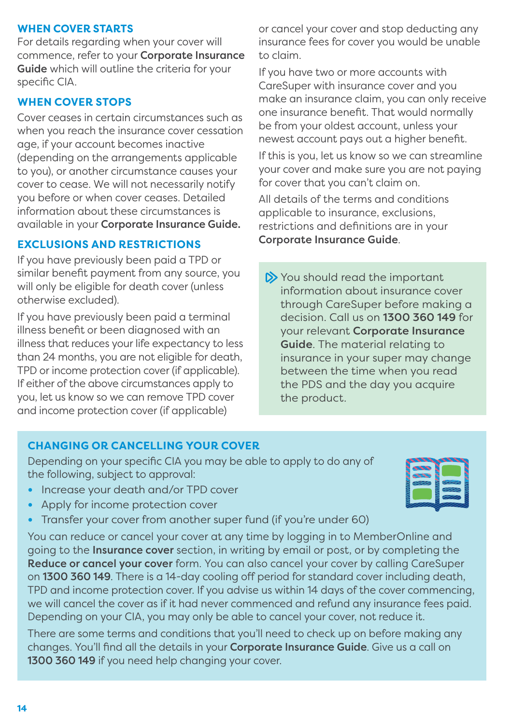#### **WHEN COVER STARTS**

For details regarding when your cover will commence, refer to your Corporate Insurance Guide which will outline the criteria for your specific CIA.

#### **WHEN COVER STOPS**

Cover ceases in certain circumstances such as when you reach the insurance cover cessation age, if your account becomes inactive (depending on the arrangements applicable to you), or another circumstance causes your cover to cease. We will not necessarily notify you before or when cover ceases. Detailed information about these circumstances is available in your Corporate Insurance Guide.

#### **EXCLUSIONS AND RESTRICTIONS**

If you have previously been paid a TPD or similar benefit payment from any source, you will only be eligible for death cover (unless otherwise excluded).

If you have previously been paid a terminal illness benefit or been diagnosed with an illness that reduces your life expectancy to less than 24 months, you are not eligible for death, TPD or income protection cover (if applicable). If either of the above circumstances apply to you, let us know so we can remove TPD cover and income protection cover (if applicable)

or cancel your cover and stop deducting any insurance fees for cover you would be unable to claim.

If you have two or more accounts with CareSuper with insurance cover and you make an insurance claim, you can only receive one insurance benefit. That would normally be from your oldest account, unless your newest account pays out a higher benefit.

If this is you, let us know so we can streamline your cover and make sure you are not paying for cover that you can't claim on.

All details of the terms and conditions applicable to insurance, exclusions, restrictions and definitions are in your Corporate Insurance Guide.

 $\triangleright$  You should read the important information about insurance cover through CareSuper before making a decision. Call us on 1300 360 149 for your relevant Corporate Insurance Guide. The material relating to insurance in your super may change between the time when you read the PDS and the day you acquire the product.

#### **CHANGING OR CANCELLING YOUR COVER**

Depending on your specific CIA you may be able to apply to do any of the following, subject to approval:

- **•** Increase your death and/or TPD cover
- **•** Apply for income protection cover
- **•** Transfer your cover from another super fund (if you're under 60)

You can reduce or cancel your cover at any time by logging in to MemberOnline and going to the Insurance cover section, in writing by email or post, or by completing the Reduce or cancel your cover form. You can also cancel your cover by calling CareSuper on 1300 360 149. There is a 14-day cooling off period for standard cover including death, TPD and income protection cover. If you advise us within 14 days of the cover commencing, we will cancel the cover as if it had never commenced and refund any insurance fees paid. Depending on your CIA, you may only be able to cancel your cover, not reduce it.

There are some terms and conditions that you'll need to check up on before making any changes. You'll find all the details in your Corporate Insurance Guide. Give us a call on 1300 360 149 if you need help changing your cover.

|  | ⋙ |  |
|--|---|--|
|  |   |  |
|  |   |  |
|  |   |  |
|  |   |  |
|  |   |  |
|  |   |  |
|  |   |  |
|  |   |  |
|  |   |  |
|  |   |  |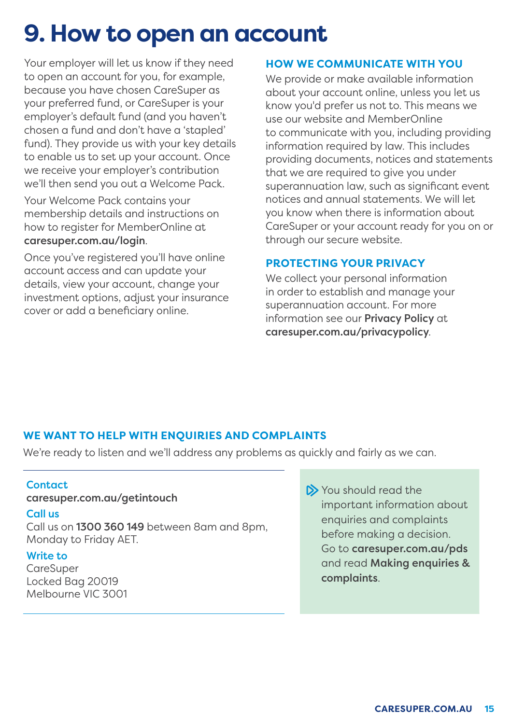### **9. How to open an account**

Your employer will let us know if they need to open an account for you, for example, because you have chosen CareSuper as your preferred fund, or CareSuper is your employer's default fund (and you haven't chosen a fund and don't have a 'stapled' fund). They provide us with your key details to enable us to set up your account. Once we receive your employer's contribution we'll then send you out a Welcome Pack.

Your Welcome Pack contains your membership details and instructions on how to register for MemberOnline at [caresuper.com.au/login](http://www.caresuper.com.au/login).

Once you've registered you'll have online account access and can update your details, view your account, change your investment options, adjust your insurance cover or add a beneficiary online.

#### **HOW WE COMMUNICATE WITH YOU**

We provide or make available information about your account online, unless you let us know you'd prefer us not to. This means we use our website and MemberOnline to communicate with you, including providing information required by law. This includes providing documents, notices and statements that we are required to give you under superannuation law, such as significant event notices and annual statements. We will let you know when there is information about CareSuper or your account ready for you on or through our secure website.

#### **PROTECTING YOUR PRIVACY**

We collect your personal information in order to establish and manage your superannuation account. For more information see our Privacy Policy at [caresuper.com.au/privacypolicy](http://caresuper.com.au/privacypolicy).

#### **WE WANT TO HELP WITH ENQUIRIES AND COMPLAINTS**

We're ready to listen and we'll address any problems as quickly and fairly as we can.

#### Contact

#### [caresuper.com.au/getintouch](http://caresuper.com.au/getintouch)

#### Call us

Call us on 1300 360 149 between 8am and 8pm, Monday to Friday AET.

#### Write to

CareSuper Locked Bag 20019 Melbourne VIC 3001 You should read the important information about enquiries and complaints before making a decision. Go to [caresuper.com.au/pds](http://caresuper.com.au/pds) and read Making enquiries & complaints.